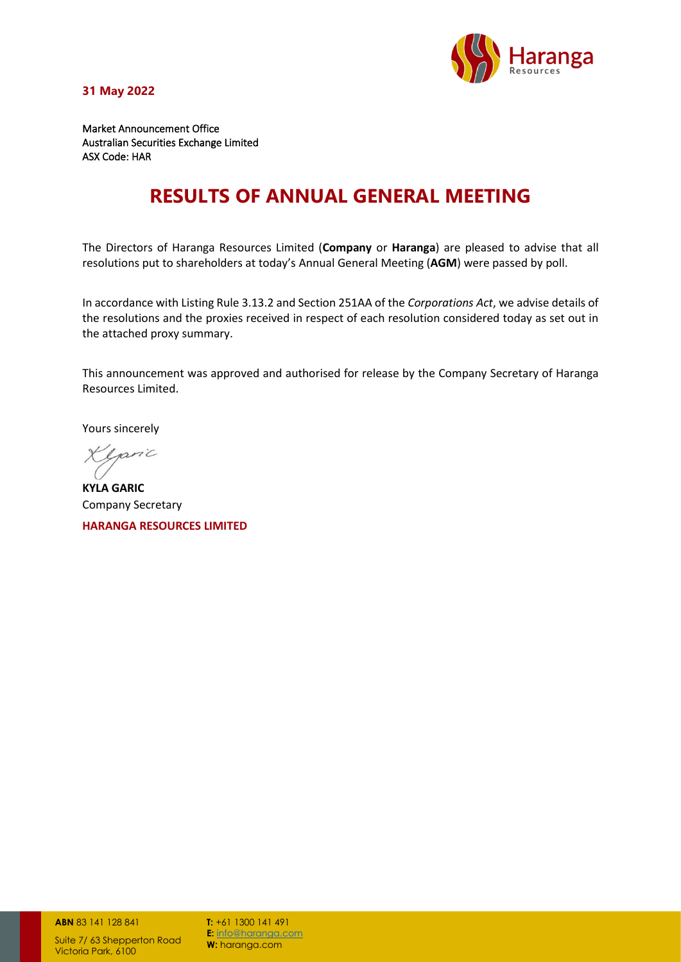

**31 May 2022**

Market Announcement Office Australian Securities Exchange Limited ASX Code: HAR

## **RESULTS OF ANNUAL GENERAL MEETING**

The Directors of Haranga Resources Limited (**Company** or **Haranga**) are pleased to advise that all resolutions put to shareholders at today's Annual General Meeting (**AGM**) were passed by poll.

In accordance with Listing Rule 3.13.2 and Section 251AA of the *Corporations Act*, we advise details of the resolutions and the proxies received in respect of each resolution considered today as set out in the attached proxy summary.

This announcement was approved and authorised for release by the Company Secretary of Haranga Resources Limited.

Yours sincerely

Klpinc

**KYLA GARIC**  Company Secretary

**HARANGA RESOURCES LIMITED**

**ABN** 83 141 [128 841](https://abr.business.gov.au/ABN/View?abn=83141128841)

Suite 7/ 63 Shepperton Road Victoria Park, 6100

**T:** +6[1 1300 141 491](tel:1300%20141%20491) **E:** [info@haranga.com](mailto:info@haranga.com) W: haranga.com